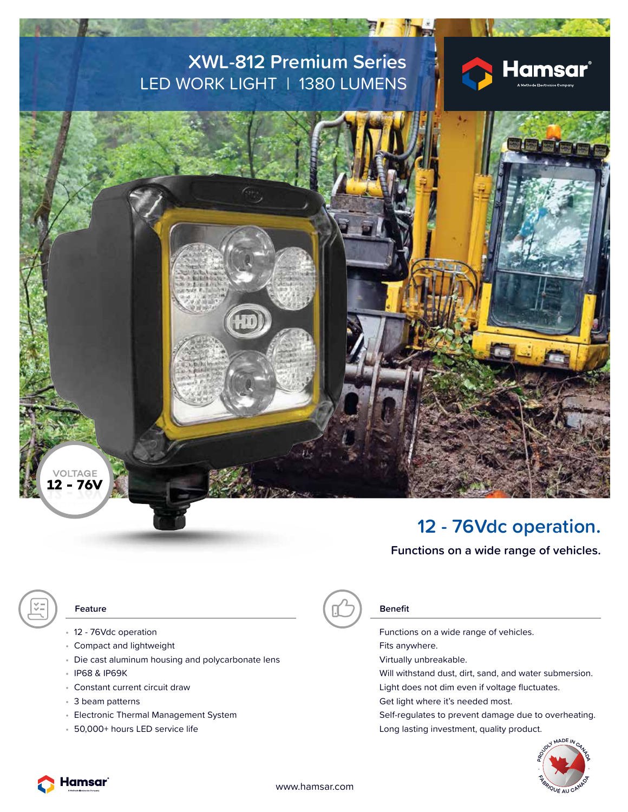### **XWL-812 Premium Series** LED WORK LIGHT | 1380 LUMENS





### **12 - 76Vdc operation.**

**Functions on a wide range of vehicles.**

- 12 76Vdc operation **Functions on a wide range of vehicles.**
- Compact and lightweight Fits anywhere.
- Die cast aluminum housing and polycarbonate lens virtually unbreakable.
- 
- 
- 
- 
- 

# **Feature Benefit**

- IP68 & IP69K Will withstand dust, dirt, sand, and water submersion.
- Constant current circuit draw Light does not dim even if voltage fluctuates.
- 3 beam patterns **Get light where it's needed most.** Get light where it's needed most.

• Electronic Thermal Management System Self-regulates to prevent damage due to overheating. • 50,000+ hours LED service life Long lasting investment, quality product.